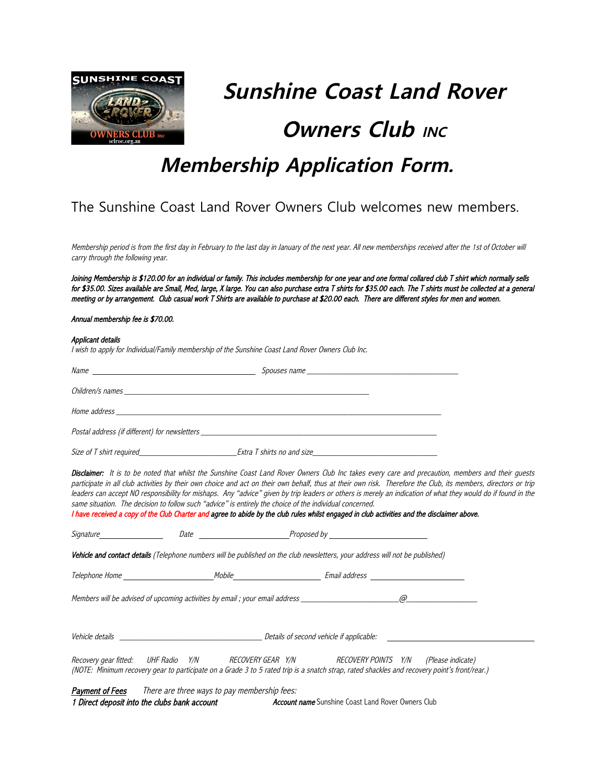

# **Sunshine Coast Land Rover Owners Club INC**

# **Membership Application Form.**

## The Sunshine Coast Land Rover Owners Club welcomes new members.

Membership period is from the first day in February to the last day in January of the next year. All new memberships received after the 1st of October will carry through the following year.

Joining Membership is \$120.00 for an individual or family. This includes membership for one year and one formal collared club T shirt which normally sells for \$35.00. Sizes available are Small, Med, large, X large. You can also purchase extra T shirts for \$35.00 each. The T shirts must be collected at a general meeting or by arrangement. Club casual work T Shirts are available to purchase at \$20.00 each. There are different styles for men and women.

#### Annual membership fee is \$70.00.

#### Applicant details

I wish to apply for Individual/Family membership of the Sunshine Coast Land Rover Owners Club Inc.

| Name<br>the contract of the contract of the contract of the contract of the contract of                                                                                                                                        | Spouses name               |  |  |
|--------------------------------------------------------------------------------------------------------------------------------------------------------------------------------------------------------------------------------|----------------------------|--|--|
|                                                                                                                                                                                                                                |                            |  |  |
|                                                                                                                                                                                                                                |                            |  |  |
| Postal address (if different) for newsletters with the control of the control of the control of the control of the control of the control of the control of the control of the control of the control of the control of the co |                            |  |  |
| Size of T shirt required Size of T shirt required                                                                                                                                                                              | Extra T shirts no and size |  |  |

I have received a copy of the Club Charter and agree to abide by the club rules whilst engaged in club activities and the disclaimer above.

Disclaimer: It is to be noted that whilst the Sunshine Coast Land Rover Owners Club Inc takes every care and precaution, members and their quests participate in all club activities by their own choice and act on their own behalf, thus at their own risk. Therefore the Club, its members, directors or trip leaders can accept NO responsibility for mishaps. Any "advice" given by trip leaders or others is merely an indication of what they would do if found in the same situation. The decision to follow such "advice" is entirely the choice of the individual concerned.

| Signature                                                                                                                                                                                                                           | <i>Date</i> and <i>Date</i> |                                                                                                                                                                                                                                                                   |          |
|-------------------------------------------------------------------------------------------------------------------------------------------------------------------------------------------------------------------------------------|-----------------------------|-------------------------------------------------------------------------------------------------------------------------------------------------------------------------------------------------------------------------------------------------------------------|----------|
|                                                                                                                                                                                                                                     |                             | Vehicle and contact details (Telephone numbers will be published on the club newsletters, your address will not be published)                                                                                                                                     |          |
|                                                                                                                                                                                                                                     |                             | Mobile ______________________                                                                                                                                                                                                                                     |          |
|                                                                                                                                                                                                                                     |                             | Members will be advised of upcoming activities by email ; your email address                                                                                                                                                                                      | $\varpi$ |
| <i>Vehicle details</i> and the set of the set of the set of the set of the set of the set of the set of the set of the set of the set of the set of the set of the set of the set of the set of the set of the set of the set of th |                             | Details of second vehicle if applicable:                                                                                                                                                                                                                          |          |
| Recovery gear fitted:                                                                                                                                                                                                               |                             | UHF Radio Y/N              RECOVERY GEAR   Y/N                     RECOVERY POINTS    Y/N       (Please indicate)<br>(NOTE: Minimum recovery gear to participate on a Grade 3 to 5 rated trip is a snatch strap, rated shackles and recovery point's front/rear.) |          |

| Payment of Fees | There are three ways to pay membership fees: |                                                           |  |
|-----------------|----------------------------------------------|-----------------------------------------------------------|--|
|                 | 1 Direct deposit into the clubs bank account | <b>Account name</b> Sunshine Coast Land Rover Owners Club |  |